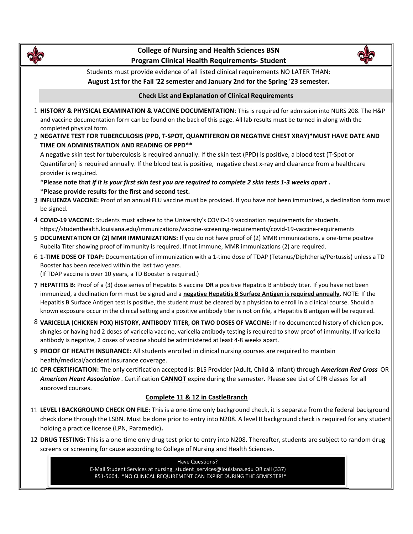

# College of Nursing and Health **Sciences** BSN Program Clinical Health Requirements- Student



Students must provide evidence of all listed clinical requirements NO LATER THAN: August 1st for the Fall '22 semester and January 2nd for the Spring '23 semester.

### Check List and Explanation of Clinical Requirements

- 1 HISTORY & PHYSICAL EXAMINATION & VACCINE DOCUMENTATION: This is required for admission into NURS 208. The H&P and vaccine documentation form can be found on the back of this page. All lab results must be turned in along with the completed physical form.
- 2 NEGATIVE TEST FOR TUBERCULOSIS (PPD, T-SPOT, QUANTIFERON OR NEGATIVE CHEST XRAY)\*MUST HAVE DATE AND TIME ON ADMINISTRATION AND READING OF PPD\*\*

A negative skin test for tuberculosis is required annually. If the skin test (PPD) is positive, a blood test (T-Spot or Quantiferon) is required annually. If the blood test is positive, negative chest x-ray and clearance from a healthcare provider is required.

\*Please note that if it is your first skin test you are required to complete 2 skin tests 1-3 weeks apart . \*Please provide results for the first and second test.

- 3 **INFLUENZA VACCINE:** Proof of an annual FLU vaccine must be provided. If you have not been immunized, a declination form must be signed.
- 4 COVID-19 VACCINE: Students must adhere to the University's COVID-19 vaccination requirements for students. https://studenthealth.louisiana.edu/immunizations/vaccine-screening-requirements/covid-19-vaccine-requirements
- 5 DOCUMENTATION OF (2) MMR IMMUNIZATIONS: If you do not have proof of (2) MMR immunizations, a one-time positive Rubella Titer showing proof of immunity is required. If not immune, MMR immunizations (2) are required.
- 6 1-TIME DOSE OF TDAP: Documentation of immunization with a 1-time dose of TDAP (Tetanus/Diphtheria/Pertussis) unless a TD Booster has been received within the last two years. (If TDAP vaccine is over 10 years, a TD Booster is required.)
- 7 **HEPATITIS B:** Proof of a (3) dose series of Hepatitis B vaccine OR a positive Hepatitis B antibody titer. If you have not been immunized, a declination form must be signed and a negative Hepatitis B Surface Antigen is required annually. NOTE: If the Hepatitis B Surface Antigen test is positive, the student must be cleared by a physician to enroll in a clinical course. Should a known exposure occur in the clinical setting and a positive antibody titer is not on file, a Hepatitis B antigen will be required.
- 8 VARICELLA (CHICKEN POX) HISTORY, ANTIBODY TITER, OR TWO DOSES OF VACCINE: If no documented history of chicken pox, shingles or having had 2 doses of varicella vaccine, varicella antibody testing is required to show proof of immunity. If varicella antibody is negative, 2 doses of vaccine should be administered at least 4-8 weeks apart.
- 9 **PROOF OF HEALTH INSURANCE:** All students enrolled in clinical nursing courses are required to maintain health/medical/accident insurance coverage.
- 10 CPR CERTIFICATION: The only certification accepted is: BLS Provider (Adult, Child & Infant) through American Red Cross OR American Heart Association . Certification CANNOT expire during the semester. Please see List of CPR classes for all approved courses. a negative Hepatitis B Surface Antigen is required annually. NOTE: If the<br>elent must be cleared by a physician to enroll in a clinical course. Should a<br>onsitive antibody titer is not on file, a Hepatitis B antigen will be

## Complete 11 & 12 in CastleBranch

- 11 LEVEL I BACKGROUND CHECK ON FILE: This is a one-time only background check, it is separate from the federal background check done through the LSBN. Must be done prior to entry into N208. A level II background check is required for any student holding a practice license (LPN, Paramedic).
- 12 **DRUG TESTING:** This is a one-time only drug test prior to entry into N208. Thereafter, students are subject to random drug screens or screening for cause according to College of Nursing and Health Sciences.

E-Mail Student Services at nursing\_student\_services@louisiana.edu OR call (337) 851-5604. \*NO CLINICAL REQUIREMENT CAN EXPIRE DURING THE SEMESTER!\*